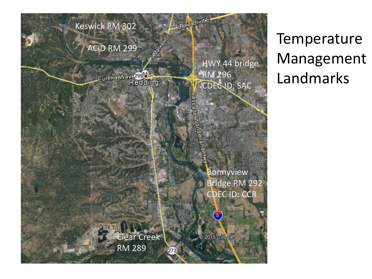

Temperature Management Landmarks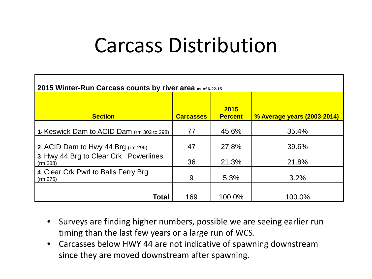## Carcass Distribution

| 2015 Winter-Run Carcass counts by river area as of 6-22-15 |                  |                        |                             |  |  |  |  |
|------------------------------------------------------------|------------------|------------------------|-----------------------------|--|--|--|--|
| <b>Section</b>                                             | <b>Carcasses</b> | 2015<br><b>Percent</b> | % Average years (2003-2014) |  |  |  |  |
| 1- Keswick Dam to ACID Dam (rm 302 to 298)                 | 77               | 45.6%                  | 35.4%                       |  |  |  |  |
| 2- ACID Dam to Hwy 44 Brg (rm 296)                         | 47               | 27.8%                  | 39.6%                       |  |  |  |  |
| 3- Hwy 44 Brg to Clear Crk Powerlines<br>(rm 288)          | 36               | 21.3%                  | 21.8%                       |  |  |  |  |
| 4- Clear Crk Pwrl to Balls Ferry Brg<br>(rm 275)           | 9                | 5.3%                   | 3.2%                        |  |  |  |  |
| <b>Total</b>                                               | 169              | 100.0%                 | 100.0%                      |  |  |  |  |

- Surveys are finding higher numbers, possible we are seeing earlier run timing than the last few years or a large run of WCS.
- Carcasses below HWY 44 are not indicative of spawning downstream since they are moved downstream after spawning.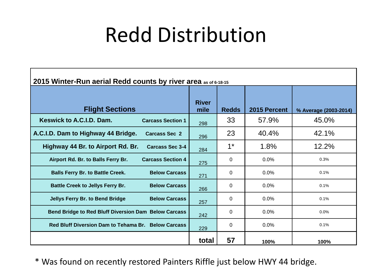## Redd Distribution

| 2015 Winter-Run aerial Redd counts by river area as of 6-18-15  |                      |              |              |                       |  |
|-----------------------------------------------------------------|----------------------|--------------|--------------|-----------------------|--|
| <b>Flight Sections</b>                                          | <b>River</b><br>mile | <b>Redds</b> | 2015 Percent | % Average (2003-2014) |  |
| Keswick to A.C.I.D. Dam.<br><b>Carcass Section 1</b>            | 298                  | 33           | 57.9%        | 45.0%                 |  |
| A.C.I.D. Dam to Highway 44 Bridge.<br><b>Carcass Sec 2</b>      | 296                  | 23           | 40.4%        | 42.1%                 |  |
| Highway 44 Br. to Airport Rd. Br.<br><b>Carcass Sec 3-4</b>     | 284                  | $1^*$        | 1.8%         | 12.2%                 |  |
| Airport Rd. Br. to Balls Ferry Br.<br><b>Carcass Section 4</b>  | 275                  | 0            | 0.0%         | 0.3%                  |  |
| <b>Balls Ferry Br. to Battle Creek.</b><br><b>Below Carcass</b> | 271                  | $\Omega$     | 0.0%         | 0.1%                  |  |
| <b>Battle Creek to Jellys Ferry Br.</b><br><b>Below Carcass</b> | 266                  | 0            | 0.0%         | 0.1%                  |  |
| <b>Jellys Ferry Br. to Bend Bridge</b><br><b>Below Carcass</b>  | 257                  | $\Omega$     | 0.0%         | 0.1%                  |  |
| Bend Bridge to Red Bluff Diversion Dam Below Carcass            | 242                  | $\Omega$     | 0.0%         | 0.0%                  |  |
| Red Bluff Diversion Dam to Tehama Br. Below Carcass             | 229                  | 0            | 0.0%         | 0.1%                  |  |
|                                                                 | total                | 57           | 100%         | 100%                  |  |

\* Was found on recently restored Painters Riffle just below HWY 44 bridge.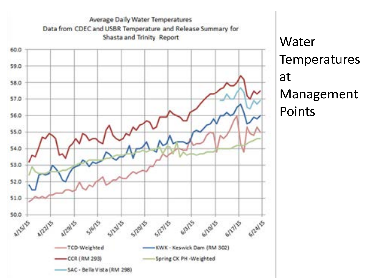

Water **Temperatures** at Management Points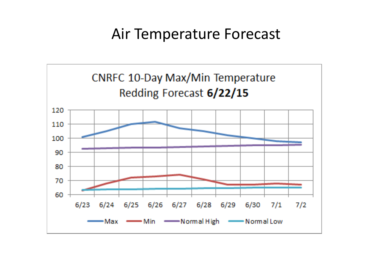## Air Temperature Forecast